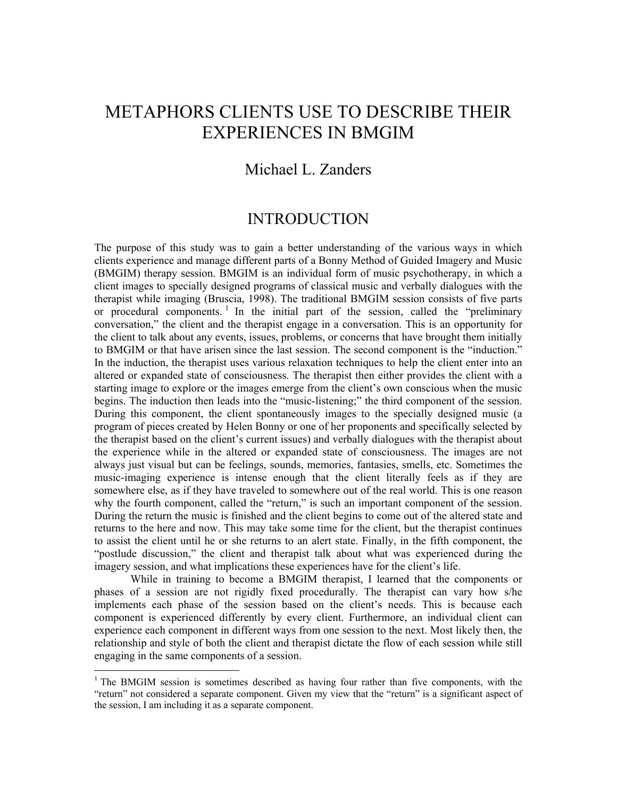# METAPHORS CLIENTS USE TO DESCRIBE THEIR EXPERIENCES IN BMGIM

## Michael L. Zanders

## INTRODUCTION

The purpose of this study was to gain a better understanding of the various ways in which clients experience and manage different parts of a Bonny Method of Guided Imagery and Music (BMGIM) therapy session. BMGIM is an individual form of music psychotherapy, in which a client images to specially designed programs of classical music and verbally dialogues with the therapist while imaging (Bruscia, 1998). The traditional BMGIM session consists of five parts or procedural components.<sup>1</sup> In the initial part of the session, called the "preliminary conversation," the client and the therapist engage in a conversation. This is an opportunity for the client to talk about any events, issues, problems, or concerns that have brought them initially to BMGIM or that have arisen since the last session. The second component is the "induction." In the induction, the therapist uses various relaxation techniques to help the client enter into an altered or expanded state of consciousness. The therapist then either provides the client with a starting image to explore or the images emerge from the client's own conscious when the music begins. The induction then leads into the "music-listening;" the third component of the session. During this component, the client spontaneously images to the specially designed music (a program of pieces created by Helen Bonny or one of her proponents and specifically selected by the therapist based on the client's current issues) and verbally dialogues with the therapist about the experience while in the altered or expanded state of consciousness. The images are not always just visual but can be feelings, sounds, memories, fantasies, smells, etc. Sometimes the music-imaging experience is intense enough that the client literally feels as if they are somewhere else, as if they have traveled to somewhere out of the real world. This is one reason why the fourth component, called the "return," is such an important component of the session. During the return the music is finished and the client begins to come out of the altered state and returns to the here and now. This may take some time for the client, but the therapist continues to assist the client until he or she returns to an alert state. Finally, in the fifth component, the "postlude discussion," the client and therapist talk about what was experienced during the imagery session, and what implications these experiences have for the client's life.

 While in training to become a BMGIM therapist, I learned that the components or phases of a session are not rigidly fixed procedurally. The therapist can vary how s/he implements each phase of the session based on the client's needs. This is because each component is experienced differently by every client. Furthermore, an individual client can experience each component in different ways from one session to the next. Most likely then, the relationship and style of both the client and therapist dictate the flow of each session while still engaging in the same components of a session.

<sup>&</sup>lt;sup>1</sup> The BMGIM session is sometimes described as having four rather than five components, with the "return" not considered a separate component. Given my view that the "return" is a significant aspect of the session, I am including it as a separate component.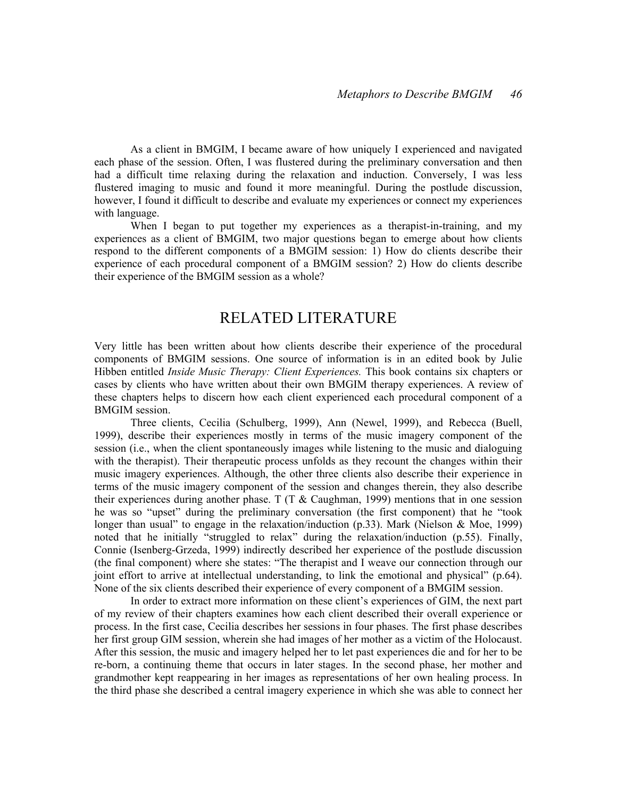As a client in BMGIM, I became aware of how uniquely I experienced and navigated each phase of the session. Often, I was flustered during the preliminary conversation and then had a difficult time relaxing during the relaxation and induction. Conversely, I was less flustered imaging to music and found it more meaningful. During the postlude discussion, however, I found it difficult to describe and evaluate my experiences or connect my experiences with language.

When I began to put together my experiences as a therapist-in-training, and my experiences as a client of BMGIM, two major questions began to emerge about how clients respond to the different components of a BMGIM session: 1) How do clients describe their experience of each procedural component of a BMGIM session? 2) How do clients describe their experience of the BMGIM session as a whole?

## RELATED LITERATURE

Very little has been written about how clients describe their experience of the procedural components of BMGIM sessions. One source of information is in an edited book by Julie Hibben entitled *Inside Music Therapy: Client Experiences*. This book contains six chapters or cases by clients who have written about their own BMGIM therapy experiences. A review of these chapters helps to discern how each client experienced each procedural component of a BMGIM session.

 Three clients, Cecilia (Schulberg, 1999), Ann (Newel, 1999), and Rebecca (Buell, 1999), describe their experiences mostly in terms of the music imagery component of the session (i.e., when the client spontaneously images while listening to the music and dialoguing with the therapist). Their therapeutic process unfolds as they recount the changes within their music imagery experiences. Although, the other three clients also describe their experience in terms of the music imagery component of the session and changes therein, they also describe their experiences during another phase. T (T  $&$  Caughman, 1999) mentions that in one session he was so "upset" during the preliminary conversation (the first component) that he "took longer than usual" to engage in the relaxation/induction (p.33). Mark (Nielson & Moe, 1999) noted that he initially "struggled to relax" during the relaxation/induction (p.55). Finally, Connie (Isenberg-Grzeda, 1999) indirectly described her experience of the postlude discussion (the final component) where she states: "The therapist and I weave our connection through our joint effort to arrive at intellectual understanding, to link the emotional and physical" (p.64). None of the six clients described their experience of every component of a BMGIM session.

In order to extract more information on these client's experiences of GIM, the next part of my review of their chapters examines how each client described their overall experience or process. In the first case, Cecilia describes her sessions in four phases. The first phase describes her first group GIM session, wherein she had images of her mother as a victim of the Holocaust. After this session, the music and imagery helped her to let past experiences die and for her to be re-born, a continuing theme that occurs in later stages. In the second phase, her mother and grandmother kept reappearing in her images as representations of her own healing process. In the third phase she described a central imagery experience in which she was able to connect her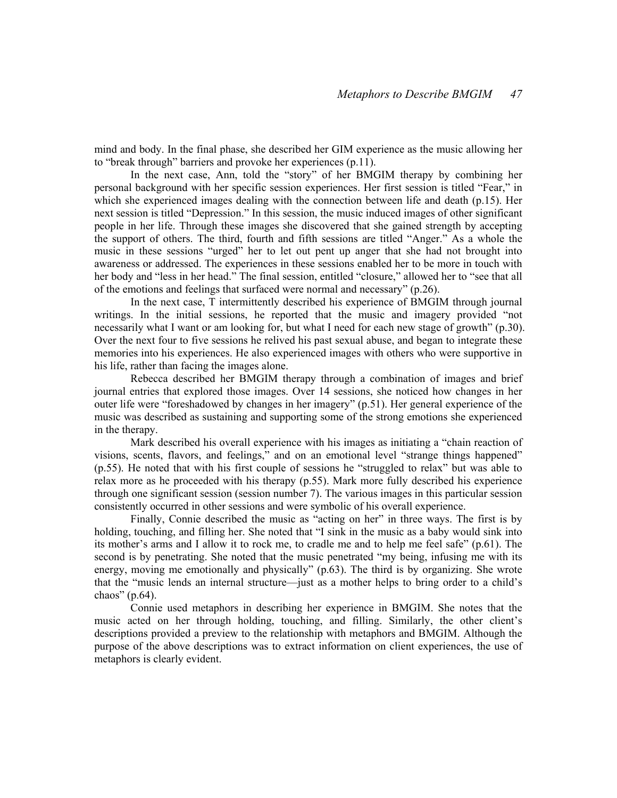mind and body. In the final phase, she described her GIM experience as the music allowing her to "break through" barriers and provoke her experiences (p.11).

 In the next case, Ann, told the "story" of her BMGIM therapy by combining her personal background with her specific session experiences. Her first session is titled "Fear," in which she experienced images dealing with the connection between life and death (p.15). Her next session is titled "Depression." In this session, the music induced images of other significant people in her life. Through these images she discovered that she gained strength by accepting the support of others. The third, fourth and fifth sessions are titled "Anger." As a whole the music in these sessions "urged" her to let out pent up anger that she had not brought into awareness or addressed. The experiences in these sessions enabled her to be more in touch with her body and "less in her head." The final session, entitled "closure," allowed her to "see that all of the emotions and feelings that surfaced were normal and necessary" (p.26).

 In the next case, T intermittently described his experience of BMGIM through journal writings. In the initial sessions, he reported that the music and imagery provided "not necessarily what I want or am looking for, but what I need for each new stage of growth" (p.30). Over the next four to five sessions he relived his past sexual abuse, and began to integrate these memories into his experiences. He also experienced images with others who were supportive in his life, rather than facing the images alone.

Rebecca described her BMGIM therapy through a combination of images and brief journal entries that explored those images. Over 14 sessions, she noticed how changes in her outer life were "foreshadowed by changes in her imagery" (p.51). Her general experience of the music was described as sustaining and supporting some of the strong emotions she experienced in the therapy.

 Mark described his overall experience with his images as initiating a "chain reaction of visions, scents, flavors, and feelings," and on an emotional level "strange things happened" (p.55). He noted that with his first couple of sessions he "struggled to relax" but was able to relax more as he proceeded with his therapy (p.55). Mark more fully described his experience through one significant session (session number 7). The various images in this particular session consistently occurred in other sessions and were symbolic of his overall experience.

 Finally, Connie described the music as "acting on her" in three ways. The first is by holding, touching, and filling her. She noted that "I sink in the music as a baby would sink into its mother's arms and I allow it to rock me, to cradle me and to help me feel safe" (p.61). The second is by penetrating. She noted that the music penetrated "my being, infusing me with its energy, moving me emotionally and physically" (p.63). The third is by organizing. She wrote that the "music lends an internal structure—just as a mother helps to bring order to a child's chaos" (p.64).

 Connie used metaphors in describing her experience in BMGIM. She notes that the music acted on her through holding, touching, and filling. Similarly, the other client's descriptions provided a preview to the relationship with metaphors and BMGIM. Although the purpose of the above descriptions was to extract information on client experiences, the use of metaphors is clearly evident.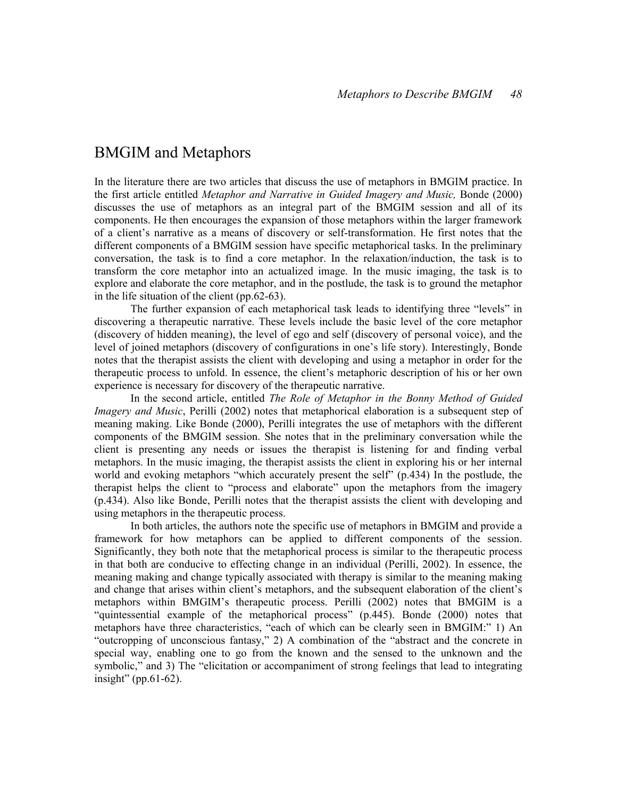## BMGIM and Metaphors

In the literature there are two articles that discuss the use of metaphors in BMGIM practice. In the first article entitled Metaphor and Narrative in Guided Imagery and Music, Bonde (2000) discusses the use of metaphors as an integral part of the BMGIM session and all of its components. He then encourages the expansion of those metaphors within the larger framework of a client's narrative as a means of discovery or self-transformation. He first notes that the different components of a BMGIM session have specific metaphorical tasks. In the preliminary conversation, the task is to find a core metaphor. In the relaxation/induction, the task is to transform the core metaphor into an actualized image. In the music imaging, the task is to explore and elaborate the core metaphor, and in the postlude, the task is to ground the metaphor in the life situation of the client (pp.62-63).

The further expansion of each metaphorical task leads to identifying three "levels" in discovering a therapeutic narrative. These levels include the basic level of the core metaphor (discovery of hidden meaning), the level of ego and self (discovery of personal voice), and the level of joined metaphors (discovery of configurations in one's life story). Interestingly, Bonde notes that the therapist assists the client with developing and using a metaphor in order for the therapeutic process to unfold. In essence, the client's metaphoric description of his or her own experience is necessary for discovery of the therapeutic narrative.

In the second article, entitled The Role of Metaphor in the Bonny Method of Guided Imagery and Music, Perilli (2002) notes that metaphorical elaboration is a subsequent step of meaning making. Like Bonde (2000), Perilli integrates the use of metaphors with the different components of the BMGIM session. She notes that in the preliminary conversation while the client is presenting any needs or issues the therapist is listening for and finding verbal metaphors. In the music imaging, the therapist assists the client in exploring his or her internal world and evoking metaphors "which accurately present the self" (p.434) In the postlude, the therapist helps the client to "process and elaborate" upon the metaphors from the imagery (p.434). Also like Bonde, Perilli notes that the therapist assists the client with developing and using metaphors in the therapeutic process.

 In both articles, the authors note the specific use of metaphors in BMGIM and provide a framework for how metaphors can be applied to different components of the session. Significantly, they both note that the metaphorical process is similar to the therapeutic process in that both are conducive to effecting change in an individual (Perilli, 2002). In essence, the meaning making and change typically associated with therapy is similar to the meaning making and change that arises within client's metaphors, and the subsequent elaboration of the client's metaphors within BMGIM's therapeutic process. Perilli (2002) notes that BMGIM is a "quintessential example of the metaphorical process" (p.445). Bonde (2000) notes that metaphors have three characteristics, "each of which can be clearly seen in BMGIM:" 1) An "outcropping of unconscious fantasy," 2) A combination of the "abstract and the concrete in special way, enabling one to go from the known and the sensed to the unknown and the symbolic," and 3) The "elicitation or accompaniment of strong feelings that lead to integrating insight" (pp.61-62).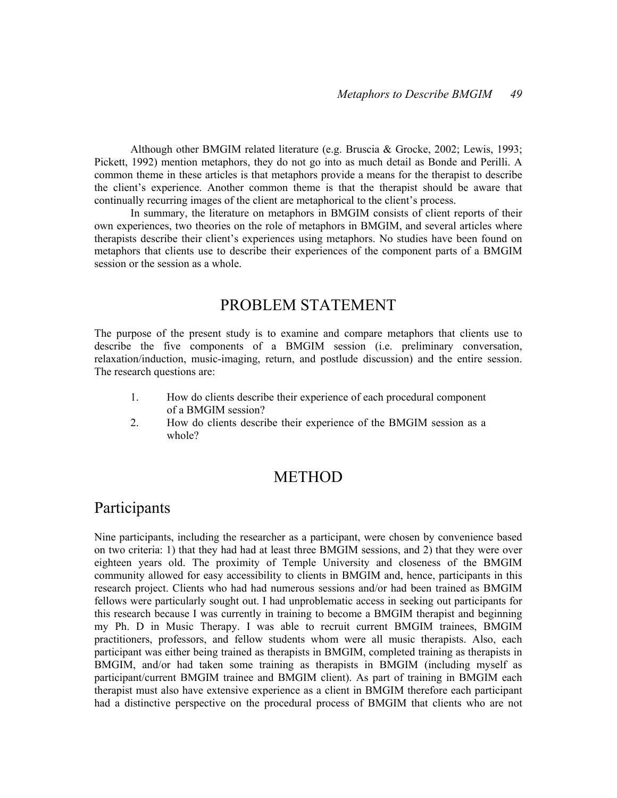Although other BMGIM related literature (e.g. Bruscia & Grocke, 2002; Lewis, 1993; Pickett, 1992) mention metaphors, they do not go into as much detail as Bonde and Perilli. A common theme in these articles is that metaphors provide a means for the therapist to describe the client's experience. Another common theme is that the therapist should be aware that continually recurring images of the client are metaphorical to the client's process.

 In summary, the literature on metaphors in BMGIM consists of client reports of their own experiences, two theories on the role of metaphors in BMGIM, and several articles where therapists describe their client's experiences using metaphors. No studies have been found on metaphors that clients use to describe their experiences of the component parts of a BMGIM session or the session as a whole.

## PROBLEM STATEMENT

The purpose of the present study is to examine and compare metaphors that clients use to describe the five components of a BMGIM session (i.e. preliminary conversation, relaxation/induction, music-imaging, return, and postlude discussion) and the entire session. The research questions are:

- 1. How do clients describe their experience of each procedural component of a BMGIM session?
- 2. How do clients describe their experience of the BMGIM session as a whole?

## METHOD

## Participants

Nine participants, including the researcher as a participant, were chosen by convenience based on two criteria: 1) that they had had at least three BMGIM sessions, and 2) that they were over eighteen years old. The proximity of Temple University and closeness of the BMGIM community allowed for easy accessibility to clients in BMGIM and, hence, participants in this research project. Clients who had had numerous sessions and/or had been trained as BMGIM fellows were particularly sought out. I had unproblematic access in seeking out participants for this research because I was currently in training to become a BMGIM therapist and beginning my Ph. D in Music Therapy. I was able to recruit current BMGIM trainees, BMGIM practitioners, professors, and fellow students whom were all music therapists. Also, each participant was either being trained as therapists in BMGIM, completed training as therapists in BMGIM, and/or had taken some training as therapists in BMGIM (including myself as participant/current BMGIM trainee and BMGIM client). As part of training in BMGIM each therapist must also have extensive experience as a client in BMGIM therefore each participant had a distinctive perspective on the procedural process of BMGIM that clients who are not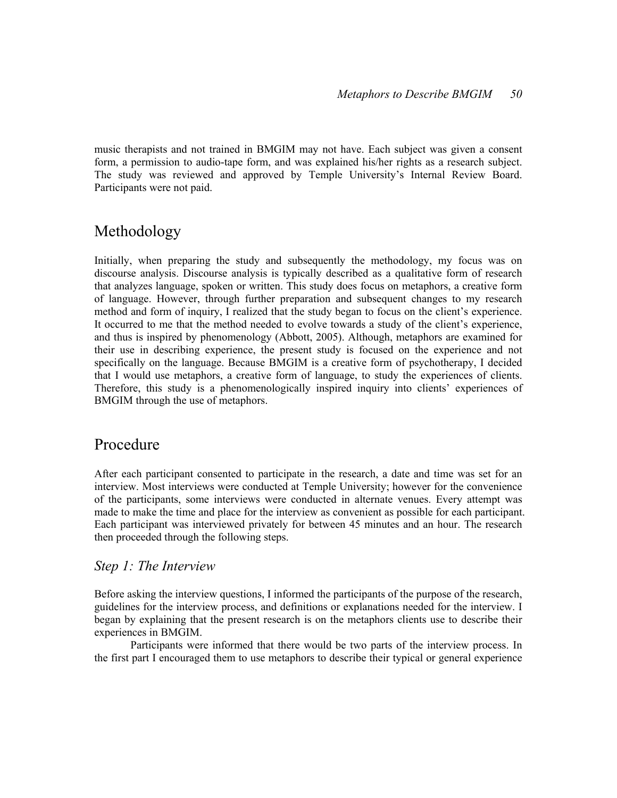music therapists and not trained in BMGIM may not have. Each subject was given a consent form, a permission to audio-tape form, and was explained his/her rights as a research subject. The study was reviewed and approved by Temple University's Internal Review Board. Participants were not paid.

## Methodology

Initially, when preparing the study and subsequently the methodology, my focus was on discourse analysis. Discourse analysis is typically described as a qualitative form of research that analyzes language, spoken or written. This study does focus on metaphors, a creative form of language. However, through further preparation and subsequent changes to my research method and form of inquiry, I realized that the study began to focus on the client's experience. It occurred to me that the method needed to evolve towards a study of the client's experience, and thus is inspired by phenomenology (Abbott, 2005). Although, metaphors are examined for their use in describing experience, the present study is focused on the experience and not specifically on the language. Because BMGIM is a creative form of psychotherapy, I decided that I would use metaphors, a creative form of language, to study the experiences of clients. Therefore, this study is a phenomenologically inspired inquiry into clients' experiences of BMGIM through the use of metaphors.

## Procedure

After each participant consented to participate in the research, a date and time was set for an interview. Most interviews were conducted at Temple University; however for the convenience of the participants, some interviews were conducted in alternate venues. Every attempt was made to make the time and place for the interview as convenient as possible for each participant. Each participant was interviewed privately for between 45 minutes and an hour. The research then proceeded through the following steps.

## Step 1: The Interview

Before asking the interview questions, I informed the participants of the purpose of the research, guidelines for the interview process, and definitions or explanations needed for the interview. I began by explaining that the present research is on the metaphors clients use to describe their experiences in BMGIM.

Participants were informed that there would be two parts of the interview process. In the first part I encouraged them to use metaphors to describe their typical or general experience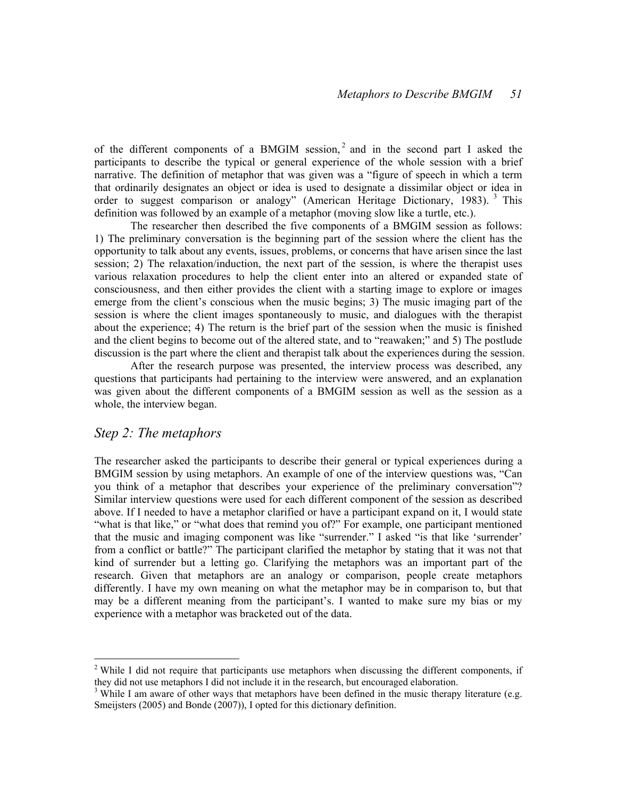of the different components of a BMGIM session,<sup>2</sup> and in the second part I asked the participants to describe the typical or general experience of the whole session with a brief narrative. The definition of metaphor that was given was a "figure of speech in which a term that ordinarily designates an object or idea is used to designate a dissimilar object or idea in order to suggest comparison or analogy" (American Heritage Dictionary, 1983).<sup>3</sup> This definition was followed by an example of a metaphor (moving slow like a turtle, etc.).

The researcher then described the five components of a BMGIM session as follows: 1) The preliminary conversation is the beginning part of the session where the client has the opportunity to talk about any events, issues, problems, or concerns that have arisen since the last session; 2) The relaxation/induction, the next part of the session, is where the therapist uses various relaxation procedures to help the client enter into an altered or expanded state of consciousness, and then either provides the client with a starting image to explore or images emerge from the client's conscious when the music begins; 3) The music imaging part of the session is where the client images spontaneously to music, and dialogues with the therapist about the experience; 4) The return is the brief part of the session when the music is finished and the client begins to become out of the altered state, and to "reawaken;" and 5) The postlude discussion is the part where the client and therapist talk about the experiences during the session.

After the research purpose was presented, the interview process was described, any questions that participants had pertaining to the interview were answered, and an explanation was given about the different components of a BMGIM session as well as the session as a whole, the interview began.

### Step 2: The metaphors

-

The researcher asked the participants to describe their general or typical experiences during a BMGIM session by using metaphors. An example of one of the interview questions was, "Can you think of a metaphor that describes your experience of the preliminary conversation"? Similar interview questions were used for each different component of the session as described above. If I needed to have a metaphor clarified or have a participant expand on it, I would state "what is that like," or "what does that remind you of?" For example, one participant mentioned that the music and imaging component was like "surrender." I asked "is that like 'surrender' from a conflict or battle?" The participant clarified the metaphor by stating that it was not that kind of surrender but a letting go. Clarifying the metaphors was an important part of the research. Given that metaphors are an analogy or comparison, people create metaphors differently. I have my own meaning on what the metaphor may be in comparison to, but that may be a different meaning from the participant's. I wanted to make sure my bias or my experience with a metaphor was bracketed out of the data.

<sup>&</sup>lt;sup>2</sup> While I did not require that participants use metaphors when discussing the different components, if they did not use metaphors I did not include it in the research, but encouraged elaboration.

 $3$  While I am aware of other ways that metaphors have been defined in the music therapy literature (e.g. Smeijsters (2005) and Bonde (2007)), I opted for this dictionary definition.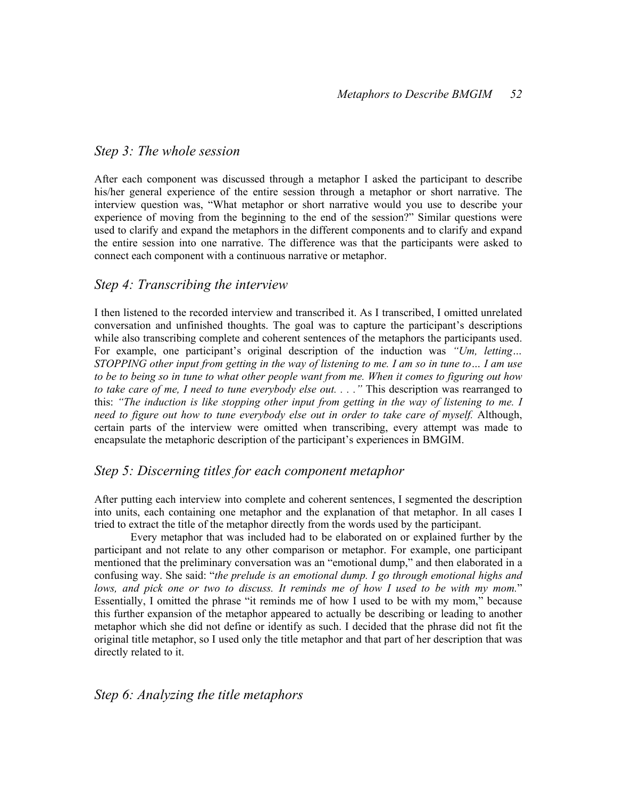## Step 3: The whole session

After each component was discussed through a metaphor I asked the participant to describe his/her general experience of the entire session through a metaphor or short narrative. The interview question was, "What metaphor or short narrative would you use to describe your experience of moving from the beginning to the end of the session?" Similar questions were used to clarify and expand the metaphors in the different components and to clarify and expand the entire session into one narrative. The difference was that the participants were asked to connect each component with a continuous narrative or metaphor.

### Step 4: Transcribing the interview

I then listened to the recorded interview and transcribed it. As I transcribed, I omitted unrelated conversation and unfinished thoughts. The goal was to capture the participant's descriptions while also transcribing complete and coherent sentences of the metaphors the participants used. For example, one participant's original description of the induction was "Um, letting... STOPPING other input from getting in the way of listening to me. I am so in tune to… I am use to be to being so in tune to what other people want from me. When it comes to figuring out how to take care of me, I need to tune everybody else out. . . . " This description was rearranged to this: "The induction is like stopping other input from getting in the way of listening to me. I need to figure out how to tune everybody else out in order to take care of myself. Although, certain parts of the interview were omitted when transcribing, every attempt was made to encapsulate the metaphoric description of the participant's experiences in BMGIM.

### Step 5: Discerning titles for each component metaphor

After putting each interview into complete and coherent sentences, I segmented the description into units, each containing one metaphor and the explanation of that metaphor. In all cases I tried to extract the title of the metaphor directly from the words used by the participant.

Every metaphor that was included had to be elaborated on or explained further by the participant and not relate to any other comparison or metaphor. For example, one participant mentioned that the preliminary conversation was an "emotional dump," and then elaborated in a confusing way. She said: "the prelude is an emotional dump. I go through emotional highs and lows, and pick one or two to discuss. It reminds me of how I used to be with my mom." Essentially, I omitted the phrase "it reminds me of how I used to be with my mom," because this further expansion of the metaphor appeared to actually be describing or leading to another metaphor which she did not define or identify as such. I decided that the phrase did not fit the original title metaphor, so I used only the title metaphor and that part of her description that was directly related to it.

## Step 6: Analyzing the title metaphors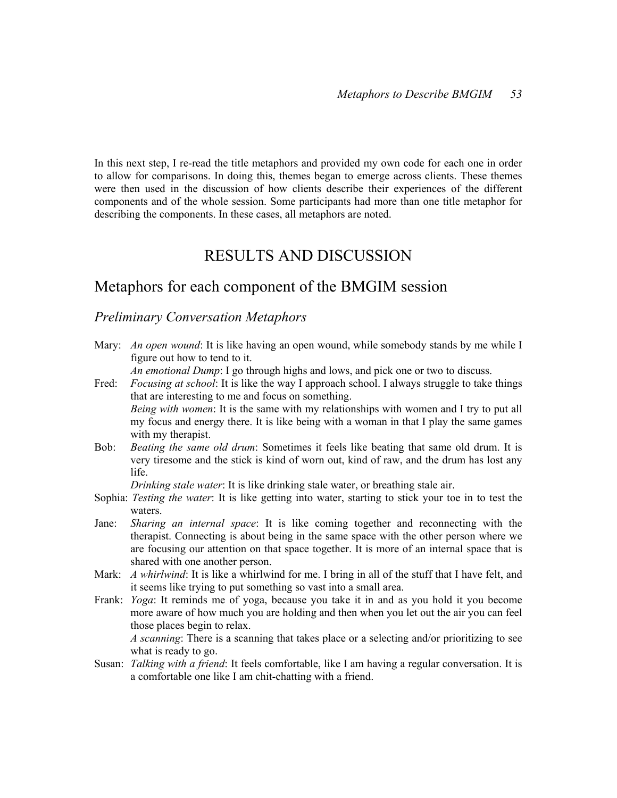In this next step, I re-read the title metaphors and provided my own code for each one in order to allow for comparisons. In doing this, themes began to emerge across clients. These themes were then used in the discussion of how clients describe their experiences of the different components and of the whole session. Some participants had more than one title metaphor for describing the components. In these cases, all metaphors are noted.

## RESULTS AND DISCUSSION

## Metaphors for each component of the BMGIM session

### Preliminary Conversation Metaphors

Mary: *An open wound*: It is like having an open wound, while somebody stands by me while I figure out how to tend to it.

An emotional Dump: I go through highs and lows, and pick one or two to discuss.

- Fred: *Focusing at school*: It is like the way I approach school. I always struggle to take things that are interesting to me and focus on something. Being with women: It is the same with my relationships with women and I try to put all my focus and energy there. It is like being with a woman in that I play the same games with my therapist.
- Bob: *Beating the same old drum*: Sometimes it feels like beating that same old drum. It is very tiresome and the stick is kind of worn out, kind of raw, and the drum has lost any life.

Drinking stale water: It is like drinking stale water, or breathing stale air.

- Sophia: Testing the water: It is like getting into water, starting to stick your toe in to test the waters.
- Jane: *Sharing an internal space*: It is like coming together and reconnecting with the therapist. Connecting is about being in the same space with the other person where we are focusing our attention on that space together. It is more of an internal space that is shared with one another person.
- Mark: A whirlwind: It is like a whirlwind for me. I bring in all of the stuff that I have felt, and it seems like trying to put something so vast into a small area.
- Frank: Yoga: It reminds me of yoga, because you take it in and as you hold it you become more aware of how much you are holding and then when you let out the air you can feel those places begin to relax.

A scanning: There is a scanning that takes place or a selecting and/or prioritizing to see what is ready to go.

Susan: *Talking with a friend*: It feels comfortable, like I am having a regular conversation. It is a comfortable one like I am chit-chatting with a friend.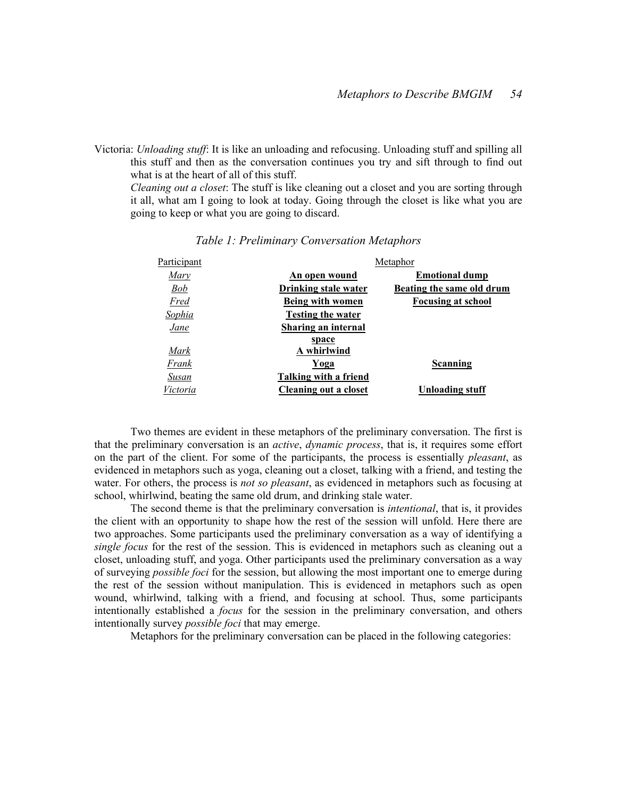Victoria: Unloading stuff: It is like an unloading and refocusing. Unloading stuff and spilling all this stuff and then as the conversation continues you try and sift through to find out what is at the heart of all of this stuff.

Cleaning out a closet: The stuff is like cleaning out a closet and you are sorting through it all, what am I going to look at today. Going through the closet is like what you are going to keep or what you are going to discard.

| Participant   | Metaphor                     |                           |
|---------------|------------------------------|---------------------------|
| Mary          | An open wound                | <b>Emotional dump</b>     |
| <b>Bob</b>    | Drinking stale water         | Beating the same old drum |
| Fred          | <b>Being with women</b>      | <b>Focusing at school</b> |
| <u>Sophia</u> | <b>Testing the water</b>     |                           |
| Jane          | <b>Sharing an internal</b>   |                           |
|               | space                        |                           |
| Mark          | A whirlwind                  |                           |
| Frank         | Yoga                         | Scanning                  |
| Susan         | <b>Talking with a friend</b> |                           |
| Victoria      | Cleaning out a closet        | <b>Unloading stuff</b>    |

#### Table 1: Preliminary Conversation Metaphors

Two themes are evident in these metaphors of the preliminary conversation. The first is that the preliminary conversation is an active, dynamic process, that is, it requires some effort on the part of the client. For some of the participants, the process is essentially *pleasant*, as evidenced in metaphors such as yoga, cleaning out a closet, talking with a friend, and testing the water. For others, the process is *not so pleasant*, as evidenced in metaphors such as focusing at school, whirlwind, beating the same old drum, and drinking stale water.

The second theme is that the preliminary conversation is *intentional*, that is, it provides the client with an opportunity to shape how the rest of the session will unfold. Here there are two approaches. Some participants used the preliminary conversation as a way of identifying a single focus for the rest of the session. This is evidenced in metaphors such as cleaning out a closet, unloading stuff, and yoga. Other participants used the preliminary conversation as a way of surveying possible foci for the session, but allowing the most important one to emerge during the rest of the session without manipulation. This is evidenced in metaphors such as open wound, whirlwind, talking with a friend, and focusing at school. Thus, some participants intentionally established a *focus* for the session in the preliminary conversation, and others intentionally survey *possible foci* that may emerge.

Metaphors for the preliminary conversation can be placed in the following categories: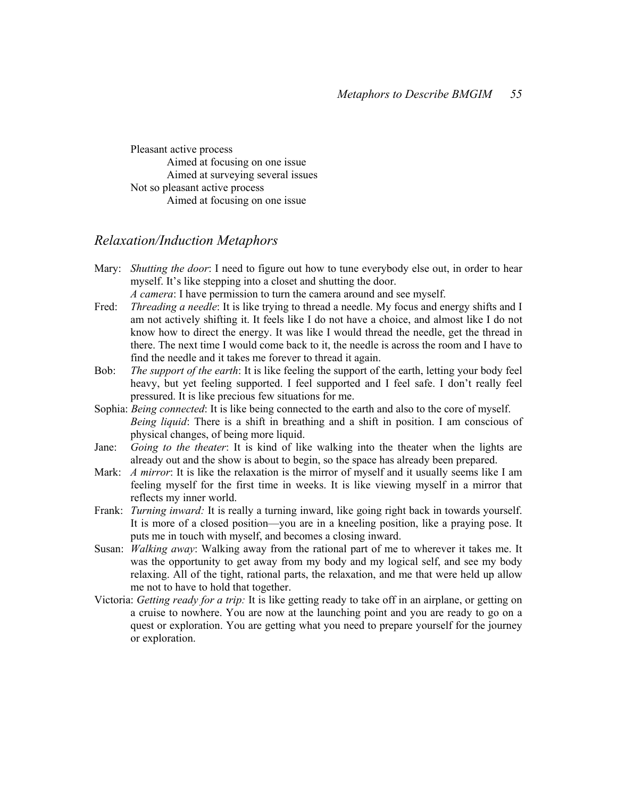Pleasant active process Aimed at focusing on one issue Aimed at surveying several issues Not so pleasant active process Aimed at focusing on one issue

### Relaxation/Induction Metaphors

Mary: *Shutting the door*: I need to figure out how to tune everybody else out, in order to hear myself. It's like stepping into a closet and shutting the door.

A camera: I have permission to turn the camera around and see myself.

- Fred: *Threading a needle*: It is like trying to thread a needle. My focus and energy shifts and I am not actively shifting it. It feels like I do not have a choice, and almost like I do not know how to direct the energy. It was like I would thread the needle, get the thread in there. The next time I would come back to it, the needle is across the room and I have to find the needle and it takes me forever to thread it again.
- Bob: The support of the earth: It is like feeling the support of the earth, letting your body feel heavy, but yet feeling supported. I feel supported and I feel safe. I don't really feel pressured. It is like precious few situations for me.
- Sophia: *Being connected*: It is like being connected to the earth and also to the core of myself. Being liquid: There is a shift in breathing and a shift in position. I am conscious of physical changes, of being more liquid.
- Jane: Going to the theater: It is kind of like walking into the theater when the lights are already out and the show is about to begin, so the space has already been prepared.
- Mark: A mirror: It is like the relaxation is the mirror of myself and it usually seems like I am feeling myself for the first time in weeks. It is like viewing myself in a mirror that reflects my inner world.
- Frank: *Turning inward*: It is really a turning inward, like going right back in towards yourself. It is more of a closed position—you are in a kneeling position, like a praying pose. It puts me in touch with myself, and becomes a closing inward.
- Susan: *Walking away*: Walking away from the rational part of me to wherever it takes me. It was the opportunity to get away from my body and my logical self, and see my body relaxing. All of the tight, rational parts, the relaxation, and me that were held up allow me not to have to hold that together.
- Victoria: Getting ready for a trip: It is like getting ready to take off in an airplane, or getting on a cruise to nowhere. You are now at the launching point and you are ready to go on a quest or exploration. You are getting what you need to prepare yourself for the journey or exploration.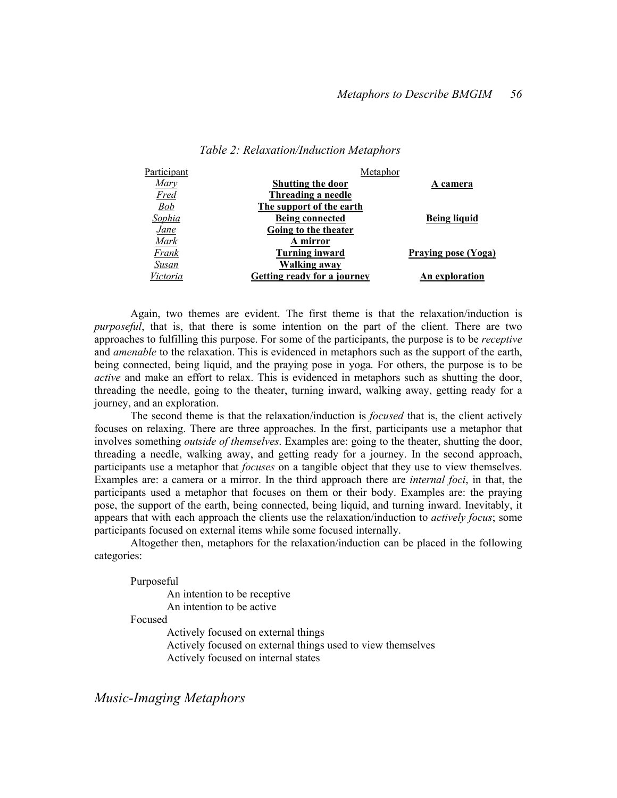| Participant  | Metaphor                           |                     |
|--------------|------------------------------------|---------------------|
| Mary         | <b>Shutting the door</b>           | A camera            |
| <u>Fred</u>  | Threading a needle                 |                     |
| <b>Bob</b>   | The support of the earth           |                     |
| Sophia       | <b>Being connected</b>             | <b>Being liquid</b> |
| <u>Jane</u>  | Going to the theater               |                     |
| Mark         | A mirror                           |                     |
| Frank        | <b>Turning inward</b>              | Praying pose (Yoga) |
| <u>Susan</u> | <b>Walking away</b>                |                     |
| Victoria     | <b>Getting ready for a journey</b> | An exploration      |

#### Table 2: Relaxation/Induction Metaphors

Again, two themes are evident. The first theme is that the relaxation/induction is purposeful, that is, that there is some intention on the part of the client. There are two approaches to fulfilling this purpose. For some of the participants, the purpose is to be receptive and *amenable* to the relaxation. This is evidenced in metaphors such as the support of the earth, being connected, being liquid, and the praying pose in yoga. For others, the purpose is to be active and make an effort to relax. This is evidenced in metaphors such as shutting the door, threading the needle, going to the theater, turning inward, walking away, getting ready for a journey, and an exploration.

The second theme is that the relaxation/induction is *focused* that is, the client actively focuses on relaxing. There are three approaches. In the first, participants use a metaphor that involves something *outside of themselves*. Examples are: going to the theater, shutting the door, threading a needle, walking away, and getting ready for a journey. In the second approach, participants use a metaphor that *focuses* on a tangible object that they use to view themselves. Examples are: a camera or a mirror. In the third approach there are *internal foci*, in that, the participants used a metaphor that focuses on them or their body. Examples are: the praying pose, the support of the earth, being connected, being liquid, and turning inward. Inevitably, it appears that with each approach the clients use the relaxation/induction to *actively focus*; some participants focused on external items while some focused internally.

Altogether then, metaphors for the relaxation/induction can be placed in the following categories:

Purposeful

 An intention to be receptive An intention to be active

Focused

 Actively focused on external things Actively focused on external things used to view themselves Actively focused on internal states

Music-Imaging Metaphors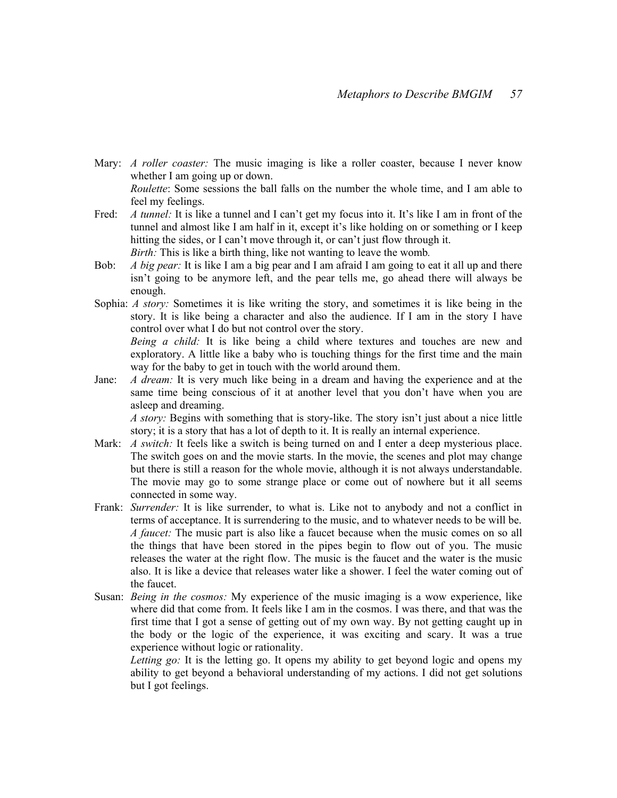- Mary: *A roller coaster*: The music imaging is like a roller coaster, because I never know whether I am going up or down. Roulette: Some sessions the ball falls on the number the whole time, and I am able to feel my feelings.
- Fred: A tunnel: It is like a tunnel and I can't get my focus into it. It's like I am in front of the tunnel and almost like I am half in it, except it's like holding on or something or I keep hitting the sides, or I can't move through it, or can't just flow through it. Birth: This is like a birth thing, like not wanting to leave the womb.
- Bob: A big pear: It is like I am a big pear and I am afraid I am going to eat it all up and there isn't going to be anymore left, and the pear tells me, go ahead there will always be enough.
- Sophia: A story: Sometimes it is like writing the story, and sometimes it is like being in the story. It is like being a character and also the audience. If I am in the story I have control over what I do but not control over the story.

Being a child: It is like being a child where textures and touches are new and exploratory. A little like a baby who is touching things for the first time and the main way for the baby to get in touch with the world around them.

Jane: A dream: It is very much like being in a dream and having the experience and at the same time being conscious of it at another level that you don't have when you are asleep and dreaming.

A story: Begins with something that is story-like. The story isn't just about a nice little story; it is a story that has a lot of depth to it. It is really an internal experience.

- Mark: *A switch*: It feels like a switch is being turned on and I enter a deep mysterious place. The switch goes on and the movie starts. In the movie, the scenes and plot may change but there is still a reason for the whole movie, although it is not always understandable. The movie may go to some strange place or come out of nowhere but it all seems connected in some way.
- Frank: Surrender: It is like surrender, to what is. Like not to anybody and not a conflict in terms of acceptance. It is surrendering to the music, and to whatever needs to be will be. A faucet: The music part is also like a faucet because when the music comes on so all the things that have been stored in the pipes begin to flow out of you. The music releases the water at the right flow. The music is the faucet and the water is the music also. It is like a device that releases water like a shower. I feel the water coming out of the faucet.
- Susan: Being in the cosmos: My experience of the music imaging is a wow experience, like where did that come from. It feels like I am in the cosmos. I was there, and that was the first time that I got a sense of getting out of my own way. By not getting caught up in the body or the logic of the experience, it was exciting and scary. It was a true experience without logic or rationality.

Letting go: It is the letting go. It opens my ability to get beyond logic and opens my ability to get beyond a behavioral understanding of my actions. I did not get solutions but I got feelings.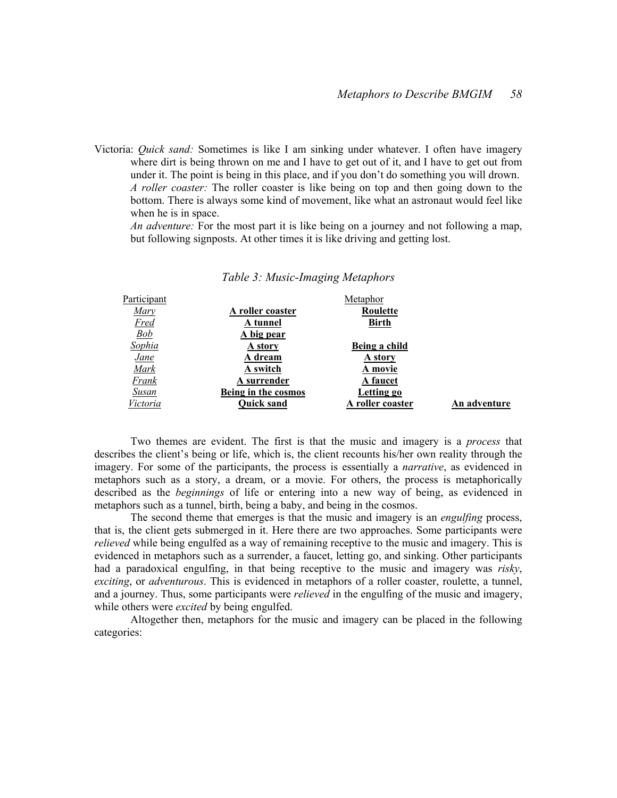Victoria: Quick sand: Sometimes is like I am sinking under whatever. I often have imagery where dirt is being thrown on me and I have to get out of it, and I have to get out from under it. The point is being in this place, and if you don't do something you will drown. A roller coaster: The roller coaster is like being on top and then going down to the bottom. There is always some kind of movement, like what an astronaut would feel like when he is in space.

An adventure: For the most part it is like being on a journey and not following a map, but following signposts. At other times it is like driving and getting lost.

| Participant |                     | Metaphor         |              |
|-------------|---------------------|------------------|--------------|
| Mary        | A roller coaster    | Roulette         |              |
| <b>Fred</b> | A tunnel            | <b>Birth</b>     |              |
| Bob         | A big pear          |                  |              |
| Sophia      | A story             | Being a child    |              |
| <u>Jane</u> | A dream             | A story          |              |
| Mark        | A switch            | A movie          |              |
| Frank       | A surrender         | <b>A</b> faucet  |              |
| Susan       | Being in the cosmos | Letting go       |              |
| Victoria    | <b>Quick sand</b>   | A roller coaster | An adventure |

#### Table 3: Music-Imaging Metaphors

Two themes are evident. The first is that the music and imagery is a *process* that describes the client's being or life, which is, the client recounts his/her own reality through the imagery. For some of the participants, the process is essentially a *narrative*, as evidenced in metaphors such as a story, a dream, or a movie. For others, the process is metaphorically described as the *beginnings* of life or entering into a new way of being, as evidenced in metaphors such as a tunnel, birth, being a baby, and being in the cosmos.

The second theme that emerges is that the music and imagery is an *engulfing* process, that is, the client gets submerged in it. Here there are two approaches. Some participants were relieved while being engulfed as a way of remaining receptive to the music and imagery. This is evidenced in metaphors such as a surrender, a faucet, letting go, and sinking. Other participants had a paradoxical engulfing, in that being receptive to the music and imagery was *risky*, exciting, or adventurous. This is evidenced in metaphors of a roller coaster, roulette, a tunnel, and a journey. Thus, some participants were *relieved* in the engulfing of the music and imagery, while others were *excited* by being engulfed.

Altogether then, metaphors for the music and imagery can be placed in the following categories: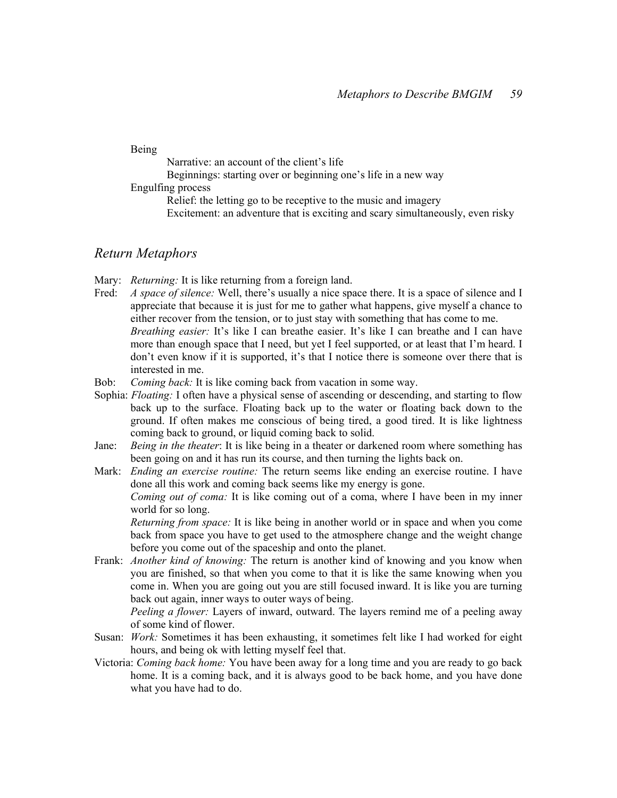Being

Narrative: an account of the client's life

Beginnings: starting over or beginning one's life in a new way

Engulfing process

Relief: the letting go to be receptive to the music and imagery Excitement: an adventure that is exciting and scary simultaneously, even risky

### Return Metaphors

- Mary: *Returning*: It is like returning from a foreign land.
- Fred: A space of silence: Well, there's usually a nice space there. It is a space of silence and I appreciate that because it is just for me to gather what happens, give myself a chance to either recover from the tension, or to just stay with something that has come to me. Breathing easier: It's like I can breathe easier. It's like I can breathe and I can have more than enough space that I need, but yet I feel supported, or at least that I'm heard. I don't even know if it is supported, it's that I notice there is someone over there that is interested in me.
- Bob: Coming back: It is like coming back from vacation in some way.
- Sophia: *Floating*: I often have a physical sense of ascending or descending, and starting to flow back up to the surface. Floating back up to the water or floating back down to the ground. If often makes me conscious of being tired, a good tired. It is like lightness coming back to ground, or liquid coming back to solid.
- Jane: *Being in the theater*: It is like being in a theater or darkened room where something has been going on and it has run its course, and then turning the lights back on.
- Mark: *Ending an exercise routine*: The return seems like ending an exercise routine. I have done all this work and coming back seems like my energy is gone.

Coming out of coma: It is like coming out of a coma, where I have been in my inner world for so long.

Returning from space: It is like being in another world or in space and when you come back from space you have to get used to the atmosphere change and the weight change before you come out of the spaceship and onto the planet.

Frank: *Another kind of knowing*: The return is another kind of knowing and you know when you are finished, so that when you come to that it is like the same knowing when you come in. When you are going out you are still focused inward. It is like you are turning back out again, inner ways to outer ways of being.

Peeling a flower: Layers of inward, outward. The layers remind me of a peeling away of some kind of flower.

- Susan: Work: Sometimes it has been exhausting, it sometimes felt like I had worked for eight hours, and being ok with letting myself feel that.
- Victoria: *Coming back home*: You have been away for a long time and you are ready to go back home. It is a coming back, and it is always good to be back home, and you have done what you have had to do.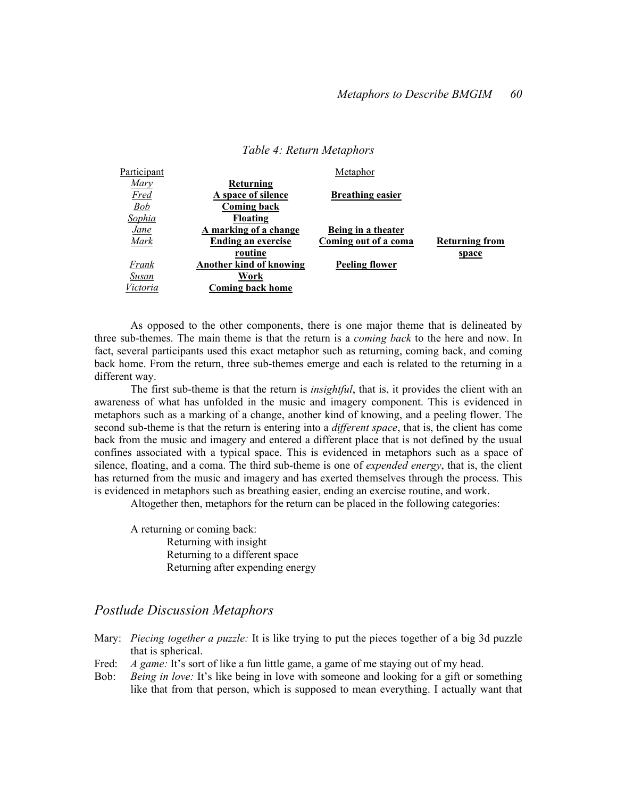| Participant       |                                | Metaphor                |                       |
|-------------------|--------------------------------|-------------------------|-----------------------|
| Marv              | Returning                      |                         |                       |
| <b>Fred</b>       | A space of silence             | <b>Breathing easier</b> |                       |
| $\underline{Bob}$ | Coming back                    |                         |                       |
| Sophia            | Floating                       |                         |                       |
| <u>Jane</u>       | A marking of a change          | Being in a theater      |                       |
| Mark              | Ending an exercise             | Coming out of a coma    | <b>Returning from</b> |
|                   | routine                        |                         | <u>space</u>          |
| Frank             | <b>Another kind of knowing</b> | <b>Peeling flower</b>   |                       |
| Susan             | Work                           |                         |                       |
| Victoria          | <b>Coming back home</b>        |                         |                       |

#### Table 4: Return Metaphors

As opposed to the other components, there is one major theme that is delineated by three sub-themes. The main theme is that the return is a *coming back* to the here and now. In fact, several participants used this exact metaphor such as returning, coming back, and coming back home. From the return, three sub-themes emerge and each is related to the returning in a different way.

The first sub-theme is that the return is *insightful*, that is, it provides the client with an awareness of what has unfolded in the music and imagery component. This is evidenced in metaphors such as a marking of a change, another kind of knowing, and a peeling flower. The second sub-theme is that the return is entering into a *different space*, that is, the client has come back from the music and imagery and entered a different place that is not defined by the usual confines associated with a typical space. This is evidenced in metaphors such as a space of silence, floating, and a coma. The third sub-theme is one of *expended energy*, that is, the client has returned from the music and imagery and has exerted themselves through the process. This is evidenced in metaphors such as breathing easier, ending an exercise routine, and work.

Altogether then, metaphors for the return can be placed in the following categories:

A returning or coming back: Returning with insight Returning to a different space Returning after expending energy

### Postlude Discussion Metaphors

- Mary: *Piecing together a puzzle*: It is like trying to put the pieces together of a big 3d puzzle that is spherical.
- Fred: A game: It's sort of like a fun little game, a game of me staying out of my head.
- Bob: *Being in love:* It's like being in love with someone and looking for a gift or something like that from that person, which is supposed to mean everything. I actually want that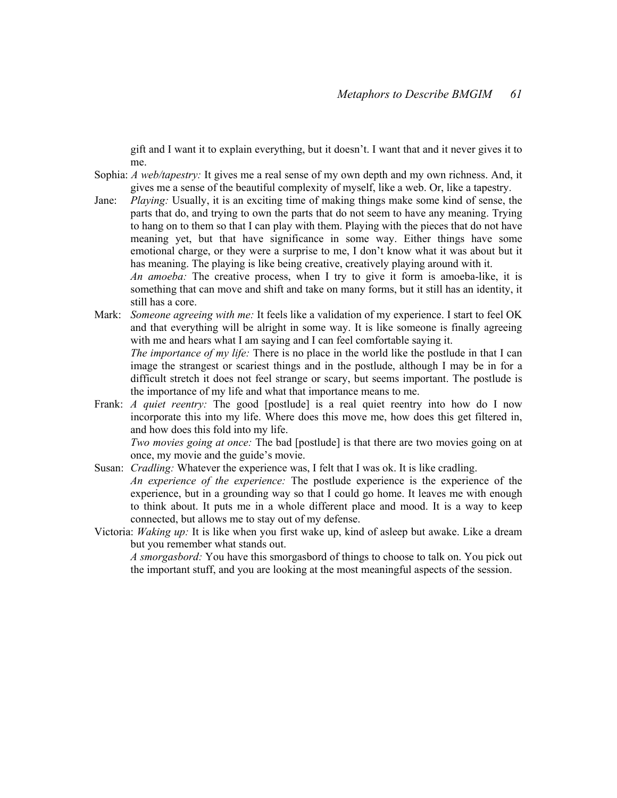gift and I want it to explain everything, but it doesn't. I want that and it never gives it to me.

- Sophia: A web/tapestry: It gives me a real sense of my own depth and my own richness. And, it gives me a sense of the beautiful complexity of myself, like a web. Or, like a tapestry.
- Jane: Playing: Usually, it is an exciting time of making things make some kind of sense, the parts that do, and trying to own the parts that do not seem to have any meaning. Trying to hang on to them so that I can play with them. Playing with the pieces that do not have meaning yet, but that have significance in some way. Either things have some emotional charge, or they were a surprise to me, I don't know what it was about but it has meaning. The playing is like being creative, creatively playing around with it.

An amoeba: The creative process, when I try to give it form is amoeba-like, it is something that can move and shift and take on many forms, but it still has an identity, it still has a core.

Mark: Someone agreeing with me: It feels like a validation of my experience. I start to feel OK and that everything will be alright in some way. It is like someone is finally agreeing with me and hears what I am saying and I can feel comfortable saying it.

The importance of my life: There is no place in the world like the postlude in that I can image the strangest or scariest things and in the postlude, although I may be in for a difficult stretch it does not feel strange or scary, but seems important. The postlude is the importance of my life and what that importance means to me.

Frank: *A quiet reentry*: The good [postlude] is a real quiet reentry into how do I now incorporate this into my life. Where does this move me, how does this get filtered in, and how does this fold into my life.

Two movies going at once: The bad [postlude] is that there are two movies going on at once, my movie and the guide's movie.

- Susan: *Cradling*: Whatever the experience was, I felt that I was ok. It is like cradling. An experience of the experience: The postlude experience is the experience of the experience, but in a grounding way so that I could go home. It leaves me with enough to think about. It puts me in a whole different place and mood. It is a way to keep connected, but allows me to stay out of my defense.
- Victoria: Waking up: It is like when you first wake up, kind of asleep but awake. Like a dream but you remember what stands out.

A smorgasbord: You have this smorgasbord of things to choose to talk on. You pick out the important stuff, and you are looking at the most meaningful aspects of the session.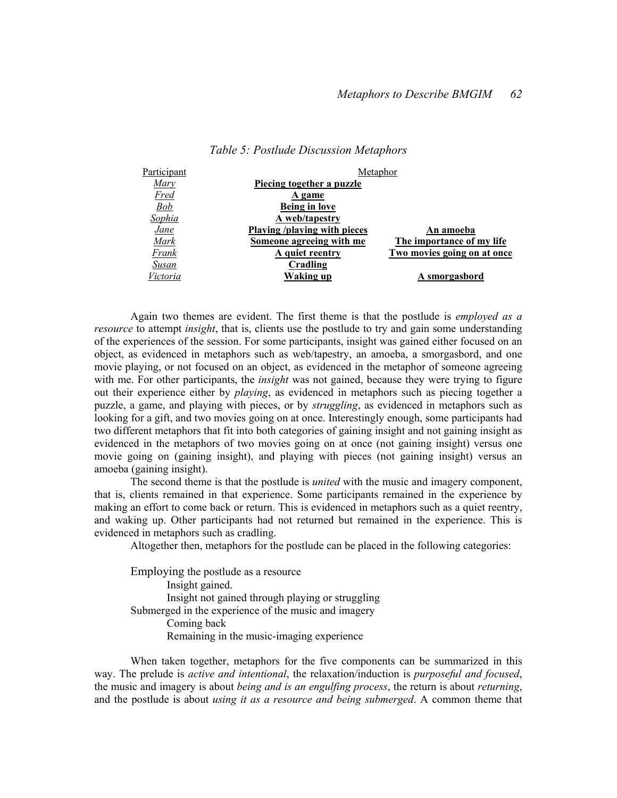| Participant  | Metaphor                            |                             |  |
|--------------|-------------------------------------|-----------------------------|--|
| Mary         | Piecing together a puzzle           |                             |  |
| Fred         | A game                              |                             |  |
| <u>Bob</u>   | <b>Being in love</b>                |                             |  |
| Sophia       | A web/tapestry                      |                             |  |
| <u>Jane</u>  | <b>Playing /playing with pieces</b> | An amoeba                   |  |
| Mark         | Someone agreeing with me            | The importance of my life   |  |
| Frank        | A quiet reentry                     | Two movies going on at once |  |
| <u>Susan</u> | Cradling                            |                             |  |
| Victoria     | Waking up                           | A smorgasbord               |  |

#### Table 5: Postlude Discussion Metaphors

Again two themes are evident. The first theme is that the postlude is employed as a resource to attempt insight, that is, clients use the postlude to try and gain some understanding of the experiences of the session. For some participants, insight was gained either focused on an object, as evidenced in metaphors such as web/tapestry, an amoeba, a smorgasbord, and one movie playing, or not focused on an object, as evidenced in the metaphor of someone agreeing with me. For other participants, the *insight* was not gained, because they were trying to figure out their experience either by *playing*, as evidenced in metaphors such as piecing together a puzzle, a game, and playing with pieces, or by struggling, as evidenced in metaphors such as looking for a gift, and two movies going on at once. Interestingly enough, some participants had two different metaphors that fit into both categories of gaining insight and not gaining insight as evidenced in the metaphors of two movies going on at once (not gaining insight) versus one movie going on (gaining insight), and playing with pieces (not gaining insight) versus an amoeba (gaining insight).

The second theme is that the postlude is united with the music and imagery component, that is, clients remained in that experience. Some participants remained in the experience by making an effort to come back or return. This is evidenced in metaphors such as a quiet reentry, and waking up. Other participants had not returned but remained in the experience. This is evidenced in metaphors such as cradling.

Altogether then, metaphors for the postlude can be placed in the following categories:

Employing the postlude as a resource Insight gained. Insight not gained through playing or struggling Submerged in the experience of the music and imagery Coming back Remaining in the music-imaging experience

When taken together, metaphors for the five components can be summarized in this way. The prelude is *active and intentional*, the relaxation/induction is *purposeful and focused*, the music and imagery is about being and is an engulfing process, the return is about returning, and the postlude is about using it as a resource and being submerged. A common theme that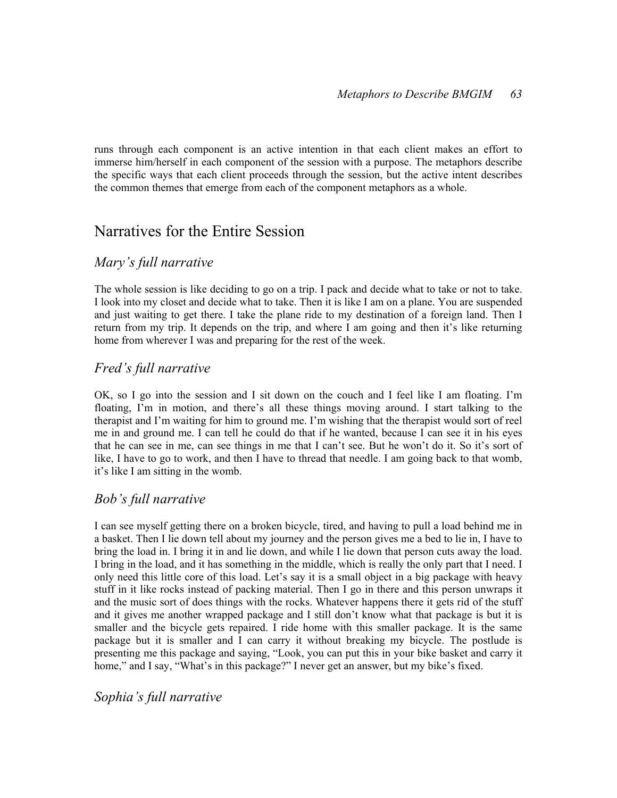runs through each component is an active intention in that each client makes an effort to immerse him/herself in each component of the session with a purpose. The metaphors describe the specific ways that each client proceeds through the session, but the active intent describes the common themes that emerge from each of the component metaphors as a whole.

## Narratives for the Entire Session

## Mary's full narrative

The whole session is like deciding to go on a trip. I pack and decide what to take or not to take. I look into my closet and decide what to take. Then it is like I am on a plane. You are suspended and just waiting to get there. I take the plane ride to my destination of a foreign land. Then I return from my trip. It depends on the trip, and where I am going and then it's like returning home from wherever I was and preparing for the rest of the week.

## Fred's full narrative

OK, so I go into the session and I sit down on the couch and I feel like I am floating. I'm floating, I'm in motion, and there's all these things moving around. I start talking to the therapist and I'm waiting for him to ground me. I'm wishing that the therapist would sort of reel me in and ground me. I can tell he could do that if he wanted, because I can see it in his eyes that he can see in me, can see things in me that I can't see. But he won't do it. So it's sort of like, I have to go to work, and then I have to thread that needle. I am going back to that womb, it's like I am sitting in the womb.

## Bob's full narrative

I can see myself getting there on a broken bicycle, tired, and having to pull a load behind me in a basket. Then I lie down tell about my journey and the person gives me a bed to lie in, I have to bring the load in. I bring it in and lie down, and while I lie down that person cuts away the load. I bring in the load, and it has something in the middle, which is really the only part that I need. I only need this little core of this load. Let's say it is a small object in a big package with heavy stuff in it like rocks instead of packing material. Then I go in there and this person unwraps it and the music sort of does things with the rocks. Whatever happens there it gets rid of the stuff and it gives me another wrapped package and I still don't know what that package is but it is smaller and the bicycle gets repaired. I ride home with this smaller package. It is the same package but it is smaller and I can carry it without breaking my bicycle. The postlude is presenting me this package and saying, "Look, you can put this in your bike basket and carry it home," and I say, "What's in this package?" I never get an answer, but my bike's fixed.

Sophia's full narrative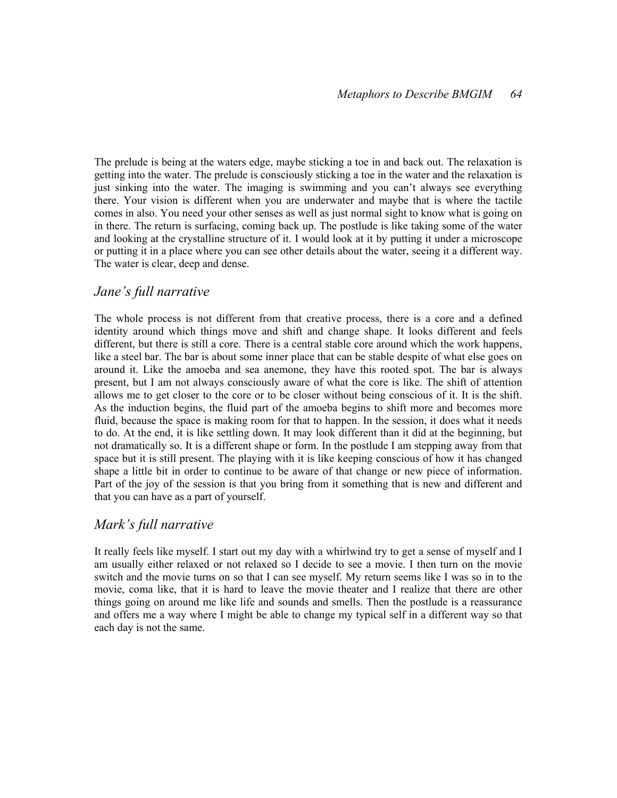The prelude is being at the waters edge, maybe sticking a toe in and back out. The relaxation is getting into the water. The prelude is consciously sticking a toe in the water and the relaxation is just sinking into the water. The imaging is swimming and you can't always see everything there. Your vision is different when you are underwater and maybe that is where the tactile comes in also. You need your other senses as well as just normal sight to know what is going on in there. The return is surfacing, coming back up. The postlude is like taking some of the water and looking at the crystalline structure of it. I would look at it by putting it under a microscope or putting it in a place where you can see other details about the water, seeing it a different way. The water is clear, deep and dense.

## Jane's full narrative

The whole process is not different from that creative process, there is a core and a defined identity around which things move and shift and change shape. It looks different and feels different, but there is still a core. There is a central stable core around which the work happens, like a steel bar. The bar is about some inner place that can be stable despite of what else goes on around it. Like the amoeba and sea anemone, they have this rooted spot. The bar is always present, but I am not always consciously aware of what the core is like. The shift of attention allows me to get closer to the core or to be closer without being conscious of it. It is the shift. As the induction begins, the fluid part of the amoeba begins to shift more and becomes more fluid, because the space is making room for that to happen. In the session, it does what it needs to do. At the end, it is like settling down. It may look different than it did at the beginning, but not dramatically so. It is a different shape or form. In the postlude I am stepping away from that space but it is still present. The playing with it is like keeping conscious of how it has changed shape a little bit in order to continue to be aware of that change or new piece of information. Part of the joy of the session is that you bring from it something that is new and different and that you can have as a part of yourself.

## Mark's full narrative

It really feels like myself. I start out my day with a whirlwind try to get a sense of myself and I am usually either relaxed or not relaxed so I decide to see a movie. I then turn on the movie switch and the movie turns on so that I can see myself. My return seems like I was so in to the movie, coma like, that it is hard to leave the movie theater and I realize that there are other things going on around me like life and sounds and smells. Then the postlude is a reassurance and offers me a way where I might be able to change my typical self in a different way so that each day is not the same.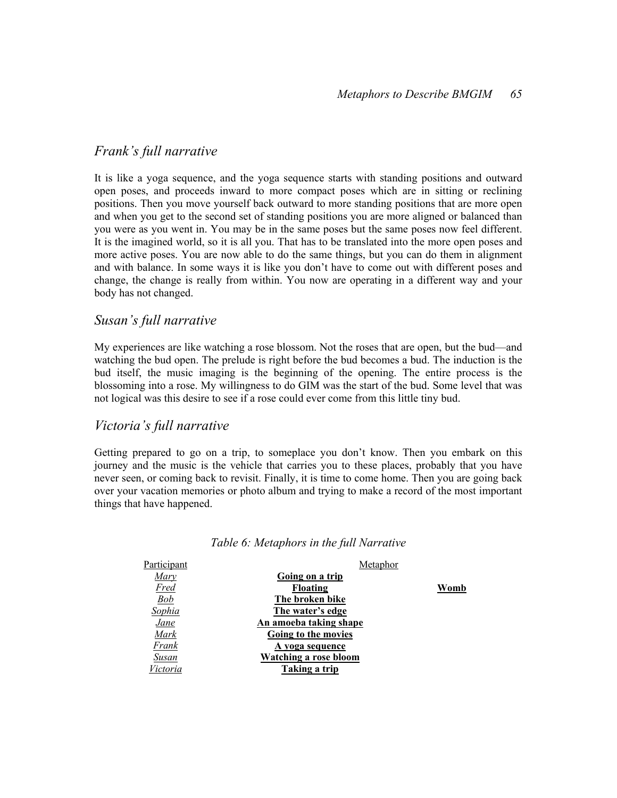## Frank's full narrative

It is like a yoga sequence, and the yoga sequence starts with standing positions and outward open poses, and proceeds inward to more compact poses which are in sitting or reclining positions. Then you move yourself back outward to more standing positions that are more open and when you get to the second set of standing positions you are more aligned or balanced than you were as you went in. You may be in the same poses but the same poses now feel different. It is the imagined world, so it is all you. That has to be translated into the more open poses and more active poses. You are now able to do the same things, but you can do them in alignment and with balance. In some ways it is like you don't have to come out with different poses and change, the change is really from within. You now are operating in a different way and your body has not changed.

## Susan's full narrative

My experiences are like watching a rose blossom. Not the roses that are open, but the bud—and watching the bud open. The prelude is right before the bud becomes a bud. The induction is the bud itself, the music imaging is the beginning of the opening. The entire process is the blossoming into a rose. My willingness to do GIM was the start of the bud. Some level that was not logical was this desire to see if a rose could ever come from this little tiny bud.

## Victoria's full narrative

Getting prepared to go on a trip, to someplace you don't know. Then you embark on this journey and the music is the vehicle that carries you to these places, probably that you have never seen, or coming back to revisit. Finally, it is time to come home. Then you are going back over your vacation memories or photo album and trying to make a record of the most important things that have happened.

| Participant   | Metaphor               |      |
|---------------|------------------------|------|
| Mary          | Going on a trip        |      |
| <b>Fred</b>   | Floating               | Womb |
| Bob           | The broken bike        |      |
| <u>Sophia</u> | The water's edge       |      |
| <b>Jane</b>   | An amoeba taking shape |      |
| Mark          | Going to the movies    |      |
| Frank         | A yoga sequence        |      |
| Susan         | Watching a rose bloom  |      |
| Victoria      | Taking a trip          |      |
|               |                        |      |

#### Table 6: Metaphors in the full Narrative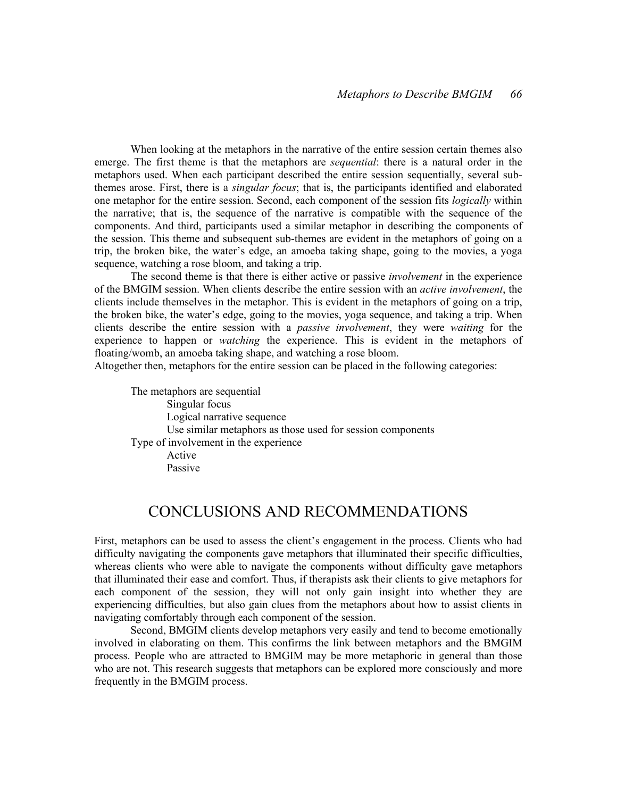When looking at the metaphors in the narrative of the entire session certain themes also emerge. The first theme is that the metaphors are *sequential*: there is a natural order in the metaphors used. When each participant described the entire session sequentially, several subthemes arose. First, there is a *singular focus*; that is, the participants identified and elaborated one metaphor for the entire session. Second, each component of the session fits *logically* within the narrative; that is, the sequence of the narrative is compatible with the sequence of the components. And third, participants used a similar metaphor in describing the components of the session. This theme and subsequent sub-themes are evident in the metaphors of going on a trip, the broken bike, the water's edge, an amoeba taking shape, going to the movies, a yoga sequence, watching a rose bloom, and taking a trip.

The second theme is that there is either active or passive *involvement* in the experience of the BMGIM session. When clients describe the entire session with an *active involvement*, the clients include themselves in the metaphor. This is evident in the metaphors of going on a trip, the broken bike, the water's edge, going to the movies, yoga sequence, and taking a trip. When clients describe the entire session with a passive involvement, they were waiting for the experience to happen or *watching* the experience. This is evident in the metaphors of floating/womb, an amoeba taking shape, and watching a rose bloom.

Altogether then, metaphors for the entire session can be placed in the following categories:

The metaphors are sequential Singular focus Logical narrative sequence Use similar metaphors as those used for session components Type of involvement in the experience Active Passive

## CONCLUSIONS AND RECOMMENDATIONS

First, metaphors can be used to assess the client's engagement in the process. Clients who had difficulty navigating the components gave metaphors that illuminated their specific difficulties, whereas clients who were able to navigate the components without difficulty gave metaphors that illuminated their ease and comfort. Thus, if therapists ask their clients to give metaphors for each component of the session, they will not only gain insight into whether they are experiencing difficulties, but also gain clues from the metaphors about how to assist clients in navigating comfortably through each component of the session.

 Second, BMGIM clients develop metaphors very easily and tend to become emotionally involved in elaborating on them. This confirms the link between metaphors and the BMGIM process. People who are attracted to BMGIM may be more metaphoric in general than those who are not. This research suggests that metaphors can be explored more consciously and more frequently in the BMGIM process.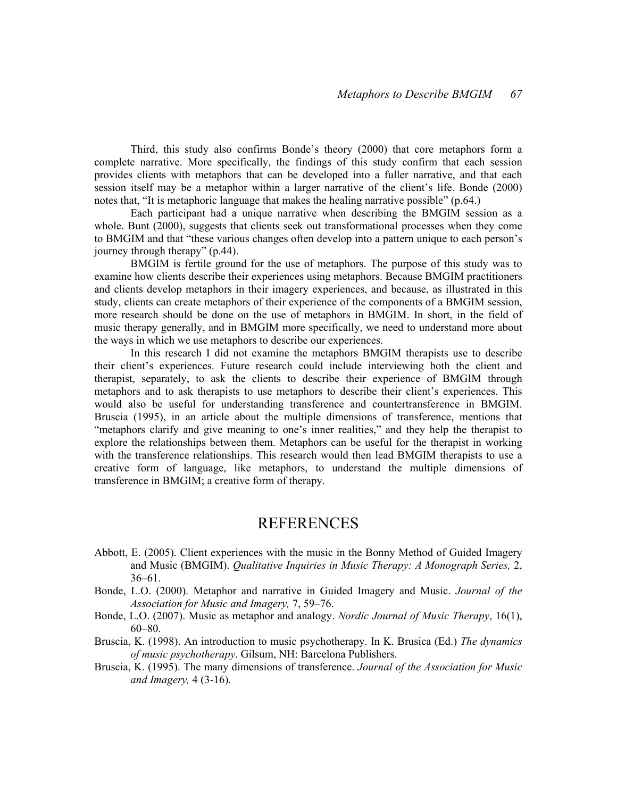Third, this study also confirms Bonde's theory (2000) that core metaphors form a complete narrative. More specifically, the findings of this study confirm that each session provides clients with metaphors that can be developed into a fuller narrative, and that each session itself may be a metaphor within a larger narrative of the client's life. Bonde (2000) notes that, "It is metaphoric language that makes the healing narrative possible" (p.64.)

Each participant had a unique narrative when describing the BMGIM session as a whole. Bunt (2000), suggests that clients seek out transformational processes when they come to BMGIM and that "these various changes often develop into a pattern unique to each person's journey through therapy" (p.44).

BMGIM is fertile ground for the use of metaphors. The purpose of this study was to examine how clients describe their experiences using metaphors. Because BMGIM practitioners and clients develop metaphors in their imagery experiences, and because, as illustrated in this study, clients can create metaphors of their experience of the components of a BMGIM session, more research should be done on the use of metaphors in BMGIM. In short, in the field of music therapy generally, and in BMGIM more specifically, we need to understand more about the ways in which we use metaphors to describe our experiences.

In this research I did not examine the metaphors BMGIM therapists use to describe their client's experiences. Future research could include interviewing both the client and therapist, separately, to ask the clients to describe their experience of BMGIM through metaphors and to ask therapists to use metaphors to describe their client's experiences. This would also be useful for understanding transference and countertransference in BMGIM. Bruscia (1995), in an article about the multiple dimensions of transference, mentions that "metaphors clarify and give meaning to one's inner realities," and they help the therapist to explore the relationships between them. Metaphors can be useful for the therapist in working with the transference relationships. This research would then lead BMGIM therapists to use a creative form of language, like metaphors, to understand the multiple dimensions of transference in BMGIM; a creative form of therapy.

## REFERENCES

- Abbott, E. (2005). Client experiences with the music in the Bonny Method of Guided Imagery and Music (BMGIM). Qualitative Inquiries in Music Therapy: A Monograph Series, 2, 36–61.
- Bonde, L.O. (2000). Metaphor and narrative in Guided Imagery and Music. Journal of the Association for Music and Imagery, 7, 59–76.
- Bonde, L.O. (2007). Music as metaphor and analogy. *Nordic Journal of Music Therapy*, 16(1), 60–80.
- Bruscia, K. (1998). An introduction to music psychotherapy. In K. Brusica (Ed.) The dynamics of music psychotherapy. Gilsum, NH: Barcelona Publishers.
- Bruscia, K. (1995). The many dimensions of transference. Journal of the Association for Music and Imagery, 4 (3-16).